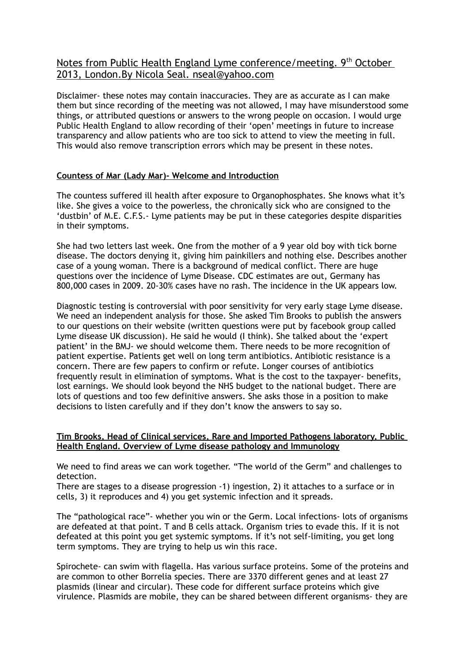# Notes from Public Health England Lyme conference/meeting. 9<sup>th</sup> October 2013, London.By Nicola Seal. nseal@yahoo.com

Disclaimer- these notes may contain inaccuracies. They are as accurate as I can make them but since recording of the meeting was not allowed, I may have misunderstood some things, or attributed questions or answers to the wrong people on occasion. I would urge Public Health England to allow recording of their 'open' meetings in future to increase transparency and allow patients who are too sick to attend to view the meeting in full. This would also remove transcription errors which may be present in these notes.

# **Countess of Mar (Lady Mar)- Welcome and Introduction**

The countess suffered ill health after exposure to Organophosphates. She knows what it's like. She gives a voice to the powerless, the chronically sick who are consigned to the 'dustbin' of M.E. C.F.S.- Lyme patients may be put in these categories despite disparities in their symptoms.

She had two letters last week. One from the mother of a 9 year old boy with tick borne disease. The doctors denying it, giving him painkillers and nothing else. Describes another case of a young woman. There is a background of medical conflict. There are huge questions over the incidence of Lyme Disease. CDC estimates are out, Germany has 800,000 cases in 2009. 20-30% cases have no rash. The incidence in the UK appears low.

Diagnostic testing is controversial with poor sensitivity for very early stage Lyme disease. We need an independent analysis for those. She asked Tim Brooks to publish the answers to our questions on their website (written questions were put by facebook group called Lyme disease UK discussion). He said he would (I think). She talked about the 'expert patient' in the BMJ- we should welcome them. There needs to be more recognition of patient expertise. Patients get well on long term antibiotics. Antibiotic resistance is a concern. There are few papers to confirm or refute. Longer courses of antibiotics frequently result in elimination of symptoms. What is the cost to the taxpayer- benefits, lost earnings. We should look beyond the NHS budget to the national budget. There are lots of questions and too few definitive answers. She asks those in a position to make decisions to listen carefully and if they don't know the answers to say so.

## **Tim Brooks, Head of Clinical services, Rare and Imported Pathogens laboratory, Public Health England. Overview of Lyme disease pathology and Immunology**

We need to find areas we can work together. "The world of the Germ" and challenges to detection.

There are stages to a disease progression -1) ingestion, 2) it attaches to a surface or in cells, 3) it reproduces and 4) you get systemic infection and it spreads.

The "pathological race"- whether you win or the Germ. Local infections- lots of organisms are defeated at that point. T and B cells attack. Organism tries to evade this. If it is not defeated at this point you get systemic symptoms. If it's not self-limiting, you get long term symptoms. They are trying to help us win this race.

Spirochete- can swim with flagella. Has various surface proteins. Some of the proteins and are common to other Borrelia species. There are 3370 different genes and at least 27 plasmids (linear and circular). These code for different surface proteins which give virulence. Plasmids are mobile, they can be shared between different organisms- they are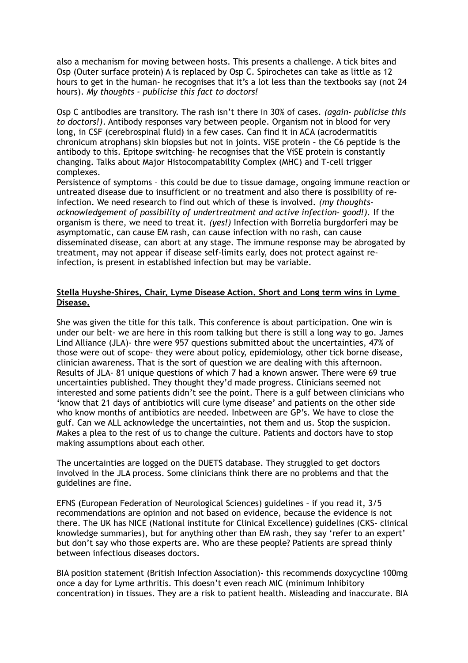also a mechanism for moving between hosts. This presents a challenge. A tick bites and Osp (Outer surface protein) A is replaced by Osp C. Spirochetes can take as little as 12 hours to get in the human- he recognises that it's a lot less than the textbooks say (not 24 hours). *My thoughts - publicise this fact to doctors!*

Osp C antibodies are transitory. The rash isn't there in 30% of cases. *(again- publicise this to doctors!)*. Antibody responses vary between people. Organism not in blood for very long, in CSF (cerebrospinal fluid) in a few cases. Can find it in ACA (acrodermatitis chronicum atrophans) skin biopsies but not in joints. ViSE protein – the C6 peptide is the antibody to this. Epitope switching- he recognises that the ViSE protein is constantly changing. Talks about Major Histocompatability Complex (MHC) and T-cell trigger complexes.

Persistence of symptoms – this could be due to tissue damage, ongoing immune reaction or untreated disease due to insufficient or no treatment and also there is possibility of reinfection. We need research to find out which of these is involved. *(my thoughtsacknowledgement of possibility of undertreatment and active infection- good!).* If the organism is there, we need to treat it. *(yes!)* Infection with Borrelia burgdorferi may be asymptomatic, can cause EM rash, can cause infection with no rash, can cause disseminated disease, can abort at any stage. The immune response may be abrogated by treatment, may not appear if disease self-limits early, does not protect against reinfection, is present in established infection but may be variable.

# **Stella Huyshe-Shires, Chair, Lyme Disease Action. Short and Long term wins in Lyme Disease.**

She was given the title for this talk. This conference is about participation. One win is under our belt- we are here in this room talking but there is still a long way to go. James Lind Alliance (JLA)- thre were 957 questions submitted about the uncertainties, 47% of those were out of scope- they were about policy, epidemiology, other tick borne disease, clinician awareness. That is the sort of question we are dealing with this afternoon. Results of JLA- 81 unique questions of which 7 had a known answer. There were 69 true uncertainties published. They thought they'd made progress. Clinicians seemed not interested and some patients didn't see the point. There is a gulf between clinicians who 'know that 21 days of antibiotics will cure lyme disease' and patients on the other side who know months of antibiotics are needed. Inbetween are GP's. We have to close the gulf. Can we ALL acknowledge the uncertainties, not them and us. Stop the suspicion. Makes a plea to the rest of us to change the culture. Patients and doctors have to stop making assumptions about each other.

The uncertainties are logged on the DUETS database. They struggled to get doctors involved in the JLA process. Some clinicians think there are no problems and that the guidelines are fine.

EFNS (European Federation of Neurological Sciences) guidelines – if you read it, 3/5 recommendations are opinion and not based on evidence, because the evidence is not there. The UK has NICE (National institute for Clinical Excellence) guidelines (CKS- clinical knowledge summaries), but for anything other than EM rash, they say 'refer to an expert' but don't say who those experts are. Who are these people? Patients are spread thinly between infectious diseases doctors.

BIA position statement (British Infection Association)- this recommends doxycycline 100mg once a day for Lyme arthritis. This doesn't even reach MIC (minimum Inhibitory concentration) in tissues. They are a risk to patient health. Misleading and inaccurate. BIA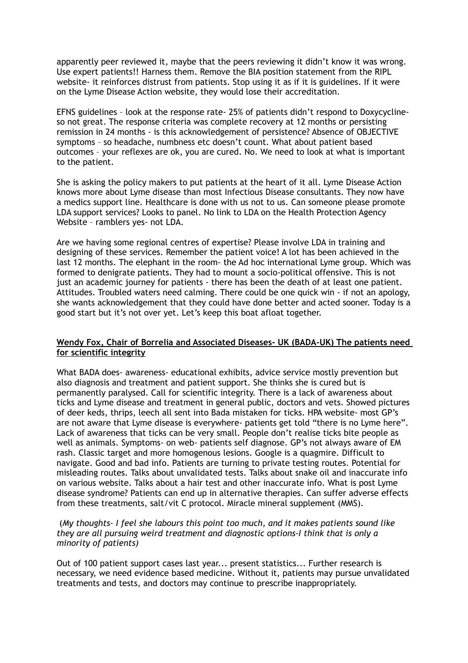apparently peer reviewed it, maybe that the peers reviewing it didn't know it was wrong. Use expert patients!! Harness them. Remove the BIA position statement from the RIPL website- it reinforces distrust from patients. Stop using it as if it is guidelines. If it were on the Lyme Disease Action website, they would lose their accreditation.

EFNS guidelines – look at the response rate- 25% of patients didn't respond to Doxycyclineso not great. The response criteria was complete recovery at 12 months or persisting remission in 24 months - is this acknowledgement of persistence? Absence of OBJECTIVE symptoms – so headache, numbness etc doesn't count. What about patient based outcomes – your reflexes are ok, you are cured. No. We need to look at what is important to the patient.

She is asking the policy makers to put patients at the heart of it all. Lyme Disease Action knows more about Lyme disease than most Infectious Disease consultants. They now have a medics support line. Healthcare is done with us not to us. Can someone please promote LDA support services? Looks to panel. No link to LDA on the Health Protection Agency Website – ramblers yes- not LDA.

Are we having some regional centres of expertise? Please involve LDA in training and designing of these services. Remember the patient voice! A lot has been achieved in the last 12 months. The elephant in the room- the Ad hoc international Lyme group. Which was formed to denigrate patients. They had to mount a socio-political offensive. This is not just an academic journey for patients - there has been the death of at least one patient. Attitudes. Troubled waters need calming. There could be one quick win - if not an apology, she wants acknowledgement that they could have done better and acted sooner. Today is a good start but it's not over yet. Let's keep this boat afloat together.

#### **Wendy Fox, Chair of Borrelia and Associated Diseases- UK (BADA-UK) The patients need for scientific integrity**

What BADA does- awareness- educational exhibits, advice service mostly prevention but also diagnosis and treatment and patient support. She thinks she is cured but is permanently paralysed. Call for scientific integrity. There is a lack of awareness about ticks and Lyme disease and treatment in general public, doctors and vets. Showed pictures of deer keds, thrips, leech all sent into Bada mistaken for ticks. HPA website- most GP's are not aware that Lyme disease is everywhere- patients get told "there is no Lyme here". Lack of awareness that ticks can be very small. People don't realise ticks bite people as well as animals. Symptoms- on web- patients self diagnose. GP's not always aware of EM rash. Classic target and more homogenous lesions. Google is a quagmire. Difficult to navigate. Good and bad info. Patients are turning to private testing routes. Potential for misleading routes. Talks about unvalidated tests. Talks about snake oil and inaccurate info on various website. Talks about a hair test and other inaccurate info. What is post Lyme disease syndrome? Patients can end up in alternative therapies. Can suffer adverse effects from these treatments, salt/vit C protocol. Miracle mineral supplement (MMS).

#### (*My thoughts- I feel she labours this point too much, and it makes patients sound like they are all pursuing weird treatment and diagnostic options-I think that is only a minority of patients)*

Out of 100 patient support cases last year... present statistics... Further research is necessary, we need evidence based medicine. Without it, patients may pursue unvalidated treatments and tests, and doctors may continue to prescribe inappropriately.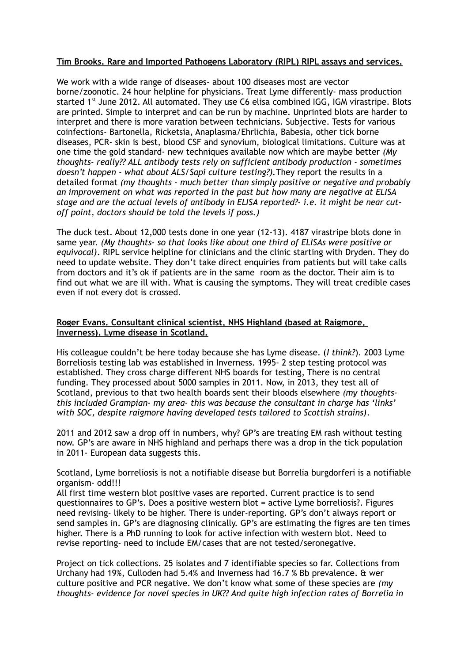#### **Tim Brooks. Rare and Imported Pathogens Laboratory (RIPL) RIPL assays and services.**

We work with a wide range of diseases- about 100 diseases most are vector borne/zoonotic. 24 hour helpline for physicians. Treat Lyme differently- mass production started  $1<sup>st</sup>$  June 2012. All automated. They use C6 elisa combined IGG, IGM virastripe. Blots are printed. Simple to interpret and can be run by machine. Unprinted blots are harder to interpret and there is more varation between technicians. Subjective. Tests for various coinfections- Bartonella, Ricketsia, Anaplasma/Ehrlichia, Babesia, other tick borne diseases, PCR- skin is best, blood CSF and synovium, biological limitations. Culture was at one time the gold standard- new techniques available now which are maybe better *(My thoughts- really?? ALL antibody tests rely on sufficient antibody production - sometimes doesn't happen - what about ALS/Sapi culture testing?).*They report the results in a detailed format *(my thoughts - much better than simply positive or negative and probably an improvement on what was reported in the past but how many are negative at ELISA stage and are the actual levels of antibody in ELISA reported?- i.e. it might be near cutoff point, doctors should be told the levels if poss.)*

The duck test. About 12,000 tests done in one year (12-13). 4187 virastripe blots done in same year. *(My thoughts- so that looks like about one third of ELISAs were positive or equivocal)*. RIPL service helpline for clinicians and the clinic starting with Dryden. They do need to update website. They don't take direct enquiries from patients but will take calls from doctors and it's ok if patients are in the same room as the doctor. Their aim is to find out what we are ill with. What is causing the symptoms. They will treat credible cases even if not every dot is crossed.

## **Roger Evans. Consultant clinical scientist, NHS Highland (based at Raigmore, Inverness). Lyme disease in Scotland.**

His colleague couldn't be here today because she has Lyme disease. (*I think?*). 2003 Lyme Borreliosis testing lab was established in Inverness. 1995- 2 step testing protocol was established. They cross charge different NHS boards for testing, There is no central funding. They processed about 5000 samples in 2011. Now, in 2013, they test all of Scotland, previous to that two health boards sent their bloods elsewhere *(my thoughtsthis included Grampian- my area- this was because the consultant in charge has 'links' with SOC, despite raigmore having developed tests tailored to Scottish strains)*.

2011 and 2012 saw a drop off in numbers, why? GP's are treating EM rash without testing now. GP's are aware in NHS highland and perhaps there was a drop in the tick population in 2011- European data suggests this.

Scotland, Lyme borreliosis is not a notifiable disease but Borrelia burgdorferi is a notifiable organism- odd!!!

All first time western blot positive vases are reported. Current practice is to send questionnaires to GP's. Does a positive western blot = active Lyme borreliosis?. Figures need revising- likely to be higher. There is under-reporting. GP's don't always report or send samples in. GP's are diagnosing clinically. GP's are estimating the figres are ten times higher. There is a PhD running to look for active infection with western blot. Need to revise reporting- need to include EM/cases that are not tested/seronegative.

Project on tick collections. 25 isolates and 7 identifiable species so far. Collections from Urchany had 19%, Culloden had 5.4% and Inverness had 16.7 % Bb prevalence. & wer culture positive and PCR negative. We don't know what some of these species are *(my thoughts- evidence for novel species in UK?? And quite high infection rates of Borrelia in*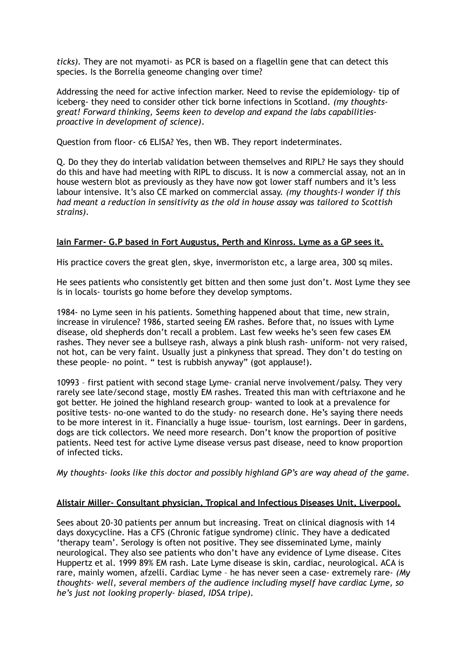*ticks).* They are not myamoti- as PCR is based on a flagellin gene that can detect this species. Is the Borrelia geneome changing over time?

Addressing the need for active infection marker. Need to revise the epidemiology- tip of iceberg- they need to consider other tick borne infections in Scotland. *(my thoughtsgreat! Forward thinking, Seems keen to develop and expand the labs capabilitiesproactive in development of science)*.

Question from floor- c6 ELISA? Yes, then WB. They report indeterminates.

Q. Do they they do interlab validation between themselves and RIPL? He says they should do this and have had meeting with RIPL to discuss. It is now a commercial assay, not an in house western blot as previously as they have now got lower staff numbers and it's less labour intensive. It's also CE marked on commercial assay. *(my thoughts-I wonder if this had meant a reduction in sensitivity as the old in house assay was tailored to Scottish strains).*

# **Iain Farmer- G.P based in Fort Augustus, Perth and Kinross. Lyme as a GP sees it.**

His practice covers the great glen, skye, invermoriston etc, a large area, 300 sq miles.

He sees patients who consistently get bitten and then some just don't. Most Lyme they see is in locals- tourists go home before they develop symptoms.

1984- no Lyme seen in his patients. Something happened about that time, new strain, increase in virulence? 1986, started seeing EM rashes. Before that, no issues with Lyme disease, old shepherds don't recall a problem. Last few weeks he's seen few cases EM rashes. They never see a bullseye rash, always a pink blush rash- uniform- not very raised, not hot, can be very faint. Usually just a pinkyness that spread. They don't do testing on these people- no point. " test is rubbish anyway" (got applause!).

10993 – first patient with second stage Lyme- cranial nerve involvement/palsy. They very rarely see late/second stage, mostly EM rashes. Treated this man with ceftriaxone and he got better. He joined the highland research group- wanted to look at a prevalence for positive tests- no-one wanted to do the study- no research done. He's saying there needs to be more interest in it. Financially a huge issue- tourism, lost earnings. Deer in gardens, dogs are tick collectors. We need more research. Don't know the proportion of positive patients. Need test for active Lyme disease versus past disease, need to know proportion of infected ticks.

*My thoughts- looks like this doctor and possibly highland GP's are way ahead of the game.*

# **Alistair Miller- Consultant physician, Tropical and Infectious Diseases Unit, Liverpool.**

Sees about 20-30 patients per annum but increasing. Treat on clinical diagnosis with 14 days doxycycline. Has a CFS (Chronic fatigue syndrome) clinic. They have a dedicated 'therapy team'. Serology is often not positive. They see disseminated Lyme, mainly neurological. They also see patients who don't have any evidence of Lyme disease. Cites Huppertz et al. 1999 89% EM rash. Late Lyme disease is skin, cardiac, neurological. ACA is rare, mainly women, afzelli. Cardiac Lyme – he has never seen a case- extremely rare- *(My thoughts- well, several members of the audience including myself have cardiac Lyme, so he's just not looking properly- biased, IDSA tripe).*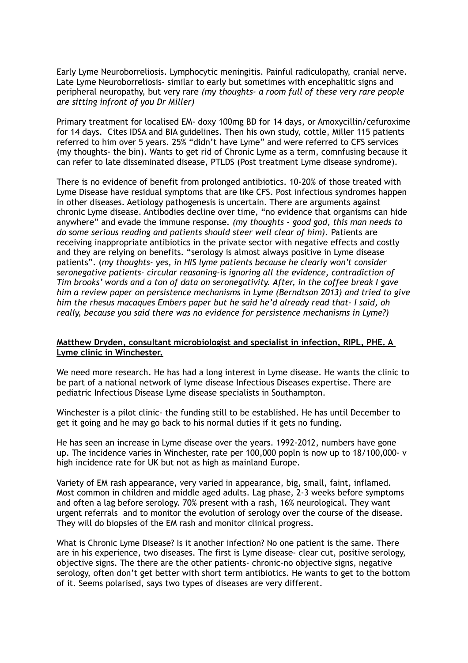Early Lyme Neuroborreliosis. Lymphocytic meningitis. Painful radiculopathy, cranial nerve. Late Lyme Neuroborreliosis- similar to early but sometimes with encephalitic signs and peripheral neuropathy, but very rare *(my thoughts- a room full of these very rare people are sitting infront of you Dr Miller)*

Primary treatment for localised EM- doxy 100mg BD for 14 days, or Amoxycillin/cefuroxime for 14 days. Cites IDSA and BIA guidelines. Then his own study, cottle, Miller 115 patients referred to him over 5 years. 25% "didn't have Lyme" and were referred to CFS services (my thoughts- the bin). Wants to get rid of Chronic Lyme as a term, comnfusing because it can refer to late disseminated disease, PTLDS (Post treatment Lyme disease syndrome).

There is no evidence of benefit from prolonged antibiotics. 10-20% of those treated with Lyme Disease have residual symptoms that are like CFS. Post infectious syndromes happen in other diseases. Aetiology pathogenesis is uncertain. There are arguments against chronic Lyme disease. Antibodies decline over time, "no evidence that organisms can hide anywhere" and evade the immune response. *(my thoughts - good god, this man needs to do some serious reading and patients should steer well clear of him).* Patients are receiving inappropriate antibiotics in the private sector with negative effects and costly and they are relying on benefits. "serology is almost always positive in Lyme disease patients". (*my thoughts- yes, in HIS lyme patients because he clearly won't consider seronegative patients- circular reasoning-is ignoring all the evidence, contradiction of Tim brooks' words and a ton of data on seronegativity. After, in the coffee break I gave him a review paper on persistence mechanisms in Lyme (Berndtson 2013) and tried to give him the rhesus macaques Embers paper but he said he'd already read that- I said, oh really, because you said there was no evidence for persistence mechanisms in Lyme?)*

#### **Matthew Dryden, consultant microbiologist and specialist in infection, RIPL, PHE. A Lyme clinic in Winchester.**

We need more research. He has had a long interest in Lyme disease. He wants the clinic to be part of a national network of lyme disease Infectious Diseases expertise. There are pediatric Infectious Disease Lyme disease specialists in Southampton.

Winchester is a pilot clinic- the funding still to be established. He has until December to get it going and he may go back to his normal duties if it gets no funding.

He has seen an increase in Lyme disease over the years. 1992-2012, numbers have gone up. The incidence varies in Winchester, rate per 100,000 popln is now up to 18/100,000- v high incidence rate for UK but not as high as mainland Europe.

Variety of EM rash appearance, very varied in appearance, big, small, faint, inflamed. Most common in children and middle aged adults. Lag phase, 2-3 weeks before symptoms and often a lag before serology. 70% present with a rash, 16% neurological. They want urgent referrals and to monitor the evolution of serology over the course of the disease. They will do biopsies of the EM rash and monitor clinical progress.

What is Chronic Lyme Disease? Is it another infection? No one patient is the same. There are in his experience, two diseases. The first is Lyme disease- clear cut, positive serology, objective signs. The there are the other patients- chronic-no objective signs, negative serology, often don't get better with short term antibiotics. He wants to get to the bottom of it. Seems polarised, says two types of diseases are very different.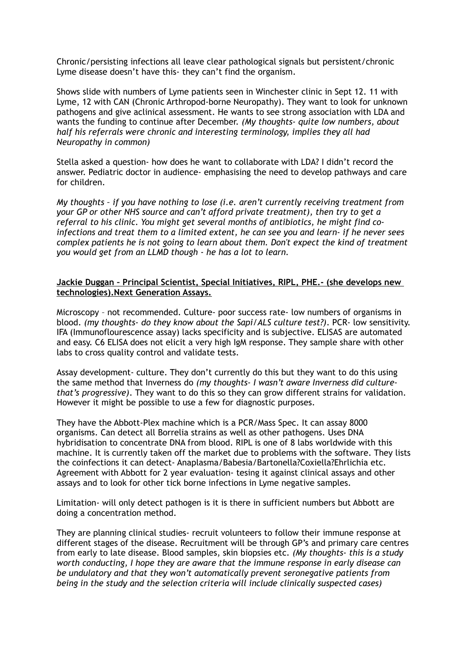Chronic/persisting infections all leave clear pathological signals but persistent/chronic Lyme disease doesn't have this- they can't find the organism.

Shows slide with numbers of Lyme patients seen in Winchester clinic in Sept 12. 11 with Lyme, 12 with CAN (Chronic Arthropod-borne Neuropathy). They want to look for unknown pathogens and give aclinical assessment. He wants to see strong association with LDA and wants the funding to continue after December. *(My thoughts- quite low numbers, about half his referrals were chronic and interesting terminology, implies they all had Neuropathy in common)*

Stella asked a question- how does he want to collaborate with LDA? I didn't record the answer. Pediatric doctor in audience- emphasising the need to develop pathways and care for children.

*My thoughts – if you have nothing to lose (i.e. aren't currently receiving treatment from your GP or other NHS source and can't afford private treatment), then try to get a referral to his clinic. You might get several months of antibiotics, he might find coinfections and treat them to a limited extent, he can see you and learn- if he never sees complex patients he is not going to learn about them. Don't expect the kind of treatment you would get from an LLMD though - he has a lot to learn.*

#### **Jackie Duggan – Principal Scientist, Special Initiatives, RIPL, PHE.- (she develops new technologies).Next Generation Assays.**

Microscopy – not recommended. Culture- poor success rate- low numbers of organisms in blood. *(my thoughts- do they know about the Sapi/ALS culture test?)*. PCR- low sensitivity. IFA (Immunoflourescence assay) lacks specificity and is subjective. ELISAS are automated and easy. C6 ELISA does not elicit a very high IgM response. They sample share with other labs to cross quality control and validate tests.

Assay development- culture. They don't currently do this but they want to do this using the same method that Inverness do *(my thoughts- I wasn't aware Inverness did culturethat's progressive)*. They want to do this so they can grow different strains for validation. However it might be possible to use a few for diagnostic purposes.

They have the Abbott-Plex machine which is a PCR/Mass Spec. It can assay 8000 organisms. Can detect all Borrelia strains as well as other pathogens. Uses DNA hybridisation to concentrate DNA from blood. RIPL is one of 8 labs worldwide with this machine. It is currently taken off the market due to problems with the software. They lists the coinfections it can detect- Anaplasma/Babesia/Bartonella?Coxiella?Ehrlichia etc. Agreement with Abbott for 2 year evaluation- tesing it against clinical assays and other assays and to look for other tick borne infections in Lyme negative samples.

Limitation- will only detect pathogen is it is there in sufficient numbers but Abbott are doing a concentration method.

They are planning clinical studies- recruit volunteers to follow their immune response at different stages of the disease. Recruitment will be through GP's and primary care centres from early to late disease. Blood samples, skin biopsies etc. *(My thoughts- this is a study worth conducting, I hope they are aware that the immune response in early disease can be undulatory and that they won't automatically prevent seronegative patients from being in the study and the selection criteria will include clinically suspected cases)*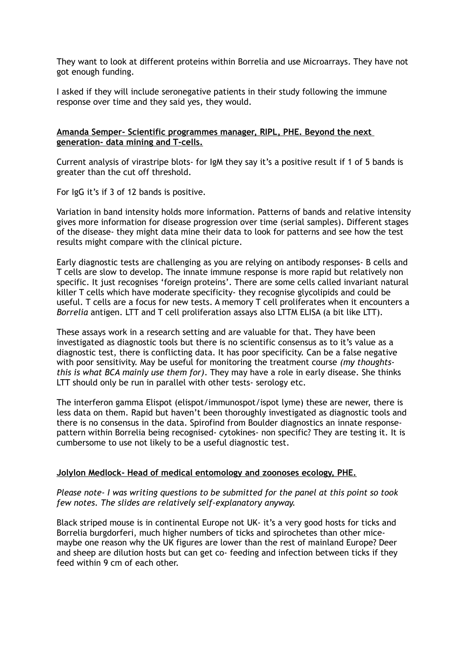They want to look at different proteins within Borrelia and use Microarrays. They have not got enough funding.

I asked if they will include seronegative patients in their study following the immune response over time and they said yes, they would.

#### **Amanda Semper- Scientific programmes manager, RIPL, PHE. Beyond the next generation- data mining and T-cells.**

Current analysis of virastripe blots- for IgM they say it's a positive result if 1 of 5 bands is greater than the cut off threshold.

For IgG it's if 3 of 12 bands is positive.

Variation in band intensity holds more information. Patterns of bands and relative intensity gives more information for disease progression over time (serial samples). Different stages of the disease- they might data mine their data to look for patterns and see how the test results might compare with the clinical picture.

Early diagnostic tests are challenging as you are relying on antibody responses- B cells and T cells are slow to develop. The innate immune response is more rapid but relatively non specific. It just recognises 'foreign proteins'. There are some cells called invariant natural killer T cells which have moderate specificity- they recognise glycolipids and could be useful. T cells are a focus for new tests. A memory T cell proliferates when it encounters a *Borrelia* antigen. LTT and T cell proliferation assays also LTTM ELISA (a bit like LTT).

These assays work in a research setting and are valuable for that. They have been investigated as diagnostic tools but there is no scientific consensus as to it's value as a diagnostic test, there is conflicting data. It has poor specificity. Can be a false negative with poor sensitivity. May be useful for monitoring the treatment course *(my thoughtsthis is what BCA mainly use them for)*. They may have a role in early disease. She thinks LTT should only be run in parallel with other tests- serology etc.

The interferon gamma Elispot (elispot/immunospot/ispot lyme) these are newer, there is less data on them. Rapid but haven't been thoroughly investigated as diagnostic tools and there is no consensus in the data. Spirofind from Boulder diagnostics an innate responsepattern within Borrelia being recognised- cytokines- non specific? They are testing it. It is cumbersome to use not likely to be a useful diagnostic test.

# **Jolylon Medlock- Head of medical entomology and zoonoses ecology, PHE.**

#### *Please note- I was writing questions to be submitted for the panel at this point so took few notes. The slides are relatively self-explanatory anyway.*

Black striped mouse is in continental Europe not UK- it's a very good hosts for ticks and Borrelia burgdorferi, much higher numbers of ticks and spirochetes than other micemaybe one reason why the UK figures are lower than the rest of mainland Europe? Deer and sheep are dilution hosts but can get co- feeding and infection between ticks if they feed within 9 cm of each other.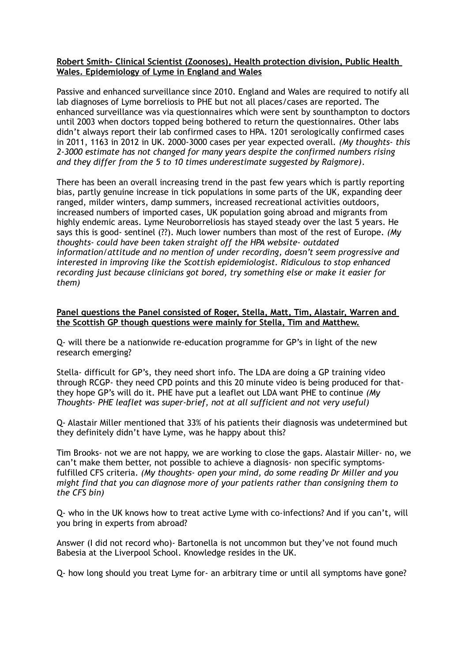## **Robert Smith- Clinical Scientist (Zoonoses), Health protection division, Public Health Wales. Epidemiology of Lyme in England and Wales**

Passive and enhanced surveillance since 2010. England and Wales are required to notify all lab diagnoses of Lyme borreliosis to PHE but not all places/cases are reported. The enhanced surveillance was via questionnaires which were sent by sounthampton to doctors until 2003 when doctors topped being bothered to return the questionnaires. Other labs didn't always report their lab confirmed cases to HPA. 1201 serologically confirmed cases in 2011, 1163 in 2012 in UK. 2000-3000 cases per year expected overall. *(My thoughts- this 2-3000 estimate has not changed for many years despite the confirmed numbers rising and they differ from the 5 to 10 times underestimate suggested by Raigmore)*.

There has been an overall increasing trend in the past few years which is partly reporting bias, partly genuine increase in tick populations in some parts of the UK, expanding deer ranged, milder winters, damp summers, increased recreational activities outdoors, increased numbers of imported cases, UK population going abroad and migrants from highly endemic areas. Lyme Neuroborreliosis has stayed steady over the last 5 years. He says this is good- sentinel (??). Much lower numbers than most of the rest of Europe. *(My thoughts- could have been taken straight off the HPA website- outdated information/attitude and no mention of under recording, doesn't seem progressive and interested in improving like the Scottish epidemiologist. Ridiculous to stop enhanced recording just because clinicians got bored, try something else or make it easier for them)*

# **Panel questions the Panel consisted of Roger, Stella, Matt, Tim, Alastair, Warren and the Scottish GP though questions were mainly for Stella, Tim and Matthew.**

Q- will there be a nationwide re-education programme for GP's in light of the new research emerging?

Stella- difficult for GP's, they need short info. The LDA are doing a GP training video through RCGP- they need CPD points and this 20 minute video is being produced for thatthey hope GP's will do it. PHE have put a leaflet out LDA want PHE to continue *(My Thoughts- PHE leaflet was super-brief, not at all sufficient and not very useful)*

Q- Alastair Miller mentioned that 33% of his patients their diagnosis was undetermined but they definitely didn't have Lyme, was he happy about this?

Tim Brooks- not we are not happy, we are working to close the gaps. Alastair Miller- no, we can't make them better, not possible to achieve a diagnosis- non specific symptomsfulfilled CFS criteria. *(My thoughts- open your mind, do some reading Dr Miller and you might find that you can diagnose more of your patients rather than consigning them to the CFS bin)*

Q- who in the UK knows how to treat active Lyme with co-infections? And if you can't, will you bring in experts from abroad?

Answer (I did not record who)- Bartonella is not uncommon but they've not found much Babesia at the Liverpool School. Knowledge resides in the UK.

Q- how long should you treat Lyme for- an arbitrary time or until all symptoms have gone?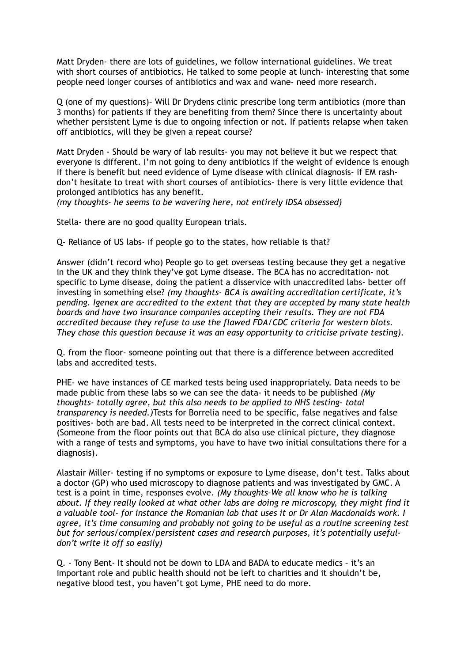Matt Dryden- there are lots of guidelines, we follow international guidelines. We treat with short courses of antibiotics. He talked to some people at lunch- interesting that some people need longer courses of antibiotics and wax and wane- need more research.

Q (one of my questions)– Will Dr Drydens clinic prescribe long term antibiotics (more than 3 months) for patients if they are benefiting from them? Since there is uncertainty about whether persistent Lyme is due to ongoing infection or not. If patients relapse when taken off antibiotics, will they be given a repeat course?

Matt Dryden - Should be wary of lab results- you may not believe it but we respect that everyone is different. I'm not going to deny antibiotics if the weight of evidence is enough if there is benefit but need evidence of Lyme disease with clinical diagnosis- if EM rashdon't hesitate to treat with short courses of antibiotics- there is very little evidence that prolonged antibiotics has any benefit.

*(my thoughts- he seems to be wavering here, not entirely IDSA obsessed)*

Stella- there are no good quality European trials.

Q- Reliance of US labs- if people go to the states, how reliable is that?

Answer (didn't record who) People go to get overseas testing because they get a negative in the UK and they think they've got Lyme disease. The BCA has no accreditation- not specific to Lyme disease, doing the patient a disservice with unaccredited labs- better off investing in something else? *(my thoughts- BCA is awaiting accreditation certificate, it's pending. Igenex are accredited to the extent that they are accepted by many state health boards and have two insurance companies accepting their results. They are not FDA accredited because they refuse to use the flawed FDA/CDC criteria for western blots. They chose this question because it was an easy opportunity to criticise private testing).*

Q. from the floor- someone pointing out that there is a difference between accredited labs and accredited tests.

PHE- we have instances of CE marked tests being used inappropriately. Data needs to be made public from these labs so we can see the data- it needs to be published *(My thoughts- totally agree, but this also needs to be applied to NHS testing- total transparency is needed.)*Tests for Borrelia need to be specific, false negatives and false positives- both are bad. All tests need to be interpreted in the correct clinical context. (Someone from the floor points out that BCA do also use clinical picture, they diagnose with a range of tests and symptoms, you have to have two initial consultations there for a diagnosis).

Alastair Miller- testing if no symptoms or exposure to Lyme disease, don't test. Talks about a doctor (GP) who used microscopy to diagnose patients and was investigated by GMC. A test is a point in time, responses evolve. *(My thoughts-We all know who he is talking about. If they really looked at what other labs are doing re microscopy, they might find it a valuable tool- for instance the Romanian lab that uses it or Dr Alan Macdonalds work. I agree, it's time consuming and probably not going to be useful as a routine screening test but for serious/complex/persistent cases and research purposes, it's potentially usefuldon't write it off so easily)*

Q. - Tony Bent- It should not be down to LDA and BADA to educate medics – it's an important role and public health should not be left to charities and it shouldn't be, negative blood test, you haven't got Lyme, PHE need to do more.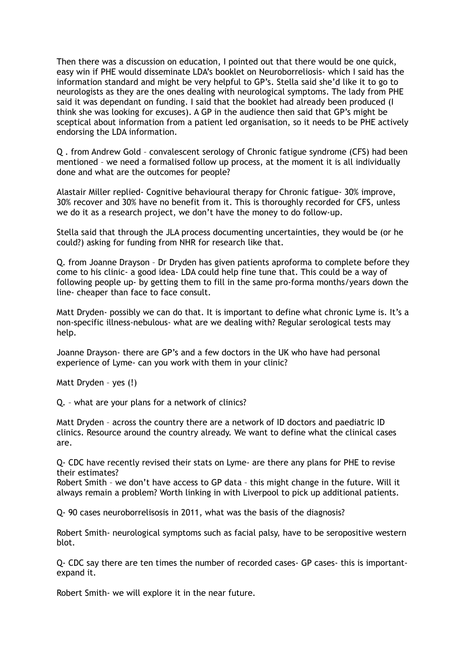Then there was a discussion on education, I pointed out that there would be one quick, easy win if PHE would disseminate LDA's booklet on Neuroborreliosis- which I said has the information standard and might be very helpful to GP's. Stella said she'd like it to go to neurologists as they are the ones dealing with neurological symptoms. The lady from PHE said it was dependant on funding. I said that the booklet had already been produced (I think she was looking for excuses). A GP in the audience then said that GP's might be sceptical about information from a patient led organisation, so it needs to be PHE actively endorsing the LDA information.

Q . from Andrew Gold – convalescent serology of Chronic fatigue syndrome (CFS) had been mentioned – we need a formalised follow up process, at the moment it is all individually done and what are the outcomes for people?

Alastair Miller replied- Cognitive behavioural therapy for Chronic fatigue- 30% improve, 30% recover and 30% have no benefit from it. This is thoroughly recorded for CFS, unless we do it as a research project, we don't have the money to do follow-up.

Stella said that through the JLA process documenting uncertainties, they would be (or he could?) asking for funding from NHR for research like that.

Q. from Joanne Drayson – Dr Dryden has given patients aproforma to complete before they come to his clinic- a good idea- LDA could help fine tune that. This could be a way of following people up- by getting them to fill in the same pro-forma months/years down the line- cheaper than face to face consult.

Matt Dryden- possibly we can do that. It is important to define what chronic Lyme is. It's a non-specific illness-nebulous- what are we dealing with? Regular serological tests may help.

Joanne Drayson- there are GP's and a few doctors in the UK who have had personal experience of Lyme- can you work with them in your clinic?

Matt Dryden – yes (!)

Q. – what are your plans for a network of clinics?

Matt Dryden – across the country there are a network of ID doctors and paediatric ID clinics. Resource around the country already. We want to define what the clinical cases are.

Q- CDC have recently revised their stats on Lyme- are there any plans for PHE to revise their estimates?

Robert Smith – we don't have access to GP data – this might change in the future. Will it always remain a problem? Worth linking in with Liverpool to pick up additional patients.

Q- 90 cases neuroborrelisosis in 2011, what was the basis of the diagnosis?

Robert Smith- neurological symptoms such as facial palsy, have to be seropositive western blot.

Q- CDC say there are ten times the number of recorded cases- GP cases- this is importantexpand it.

Robert Smith- we will explore it in the near future.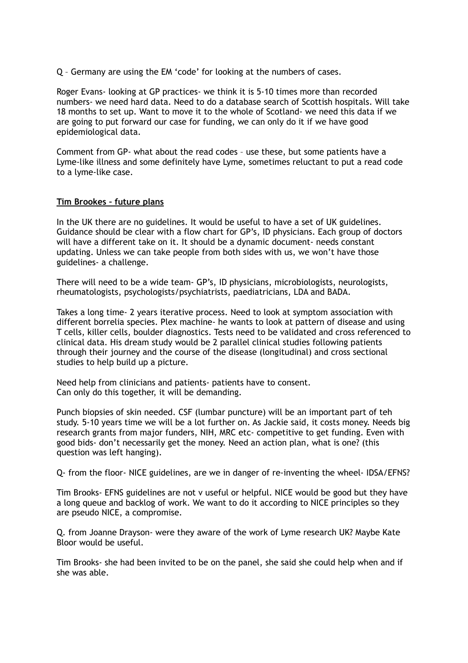Q – Germany are using the EM 'code' for looking at the numbers of cases.

Roger Evans- looking at GP practices- we think it is 5-10 times more than recorded numbers- we need hard data. Need to do a database search of Scottish hospitals. Will take 18 months to set up. Want to move it to the whole of Scotland- we need this data if we are going to put forward our case for funding, we can only do it if we have good epidemiological data.

Comment from GP- what about the read codes – use these, but some patients have a Lyme-like illness and some definitely have Lyme, sometimes reluctant to put a read code to a lyme-like case.

#### **Tim Brookes – future plans**

In the UK there are no guidelines. It would be useful to have a set of UK guidelines. Guidance should be clear with a flow chart for GP's, ID physicians. Each group of doctors will have a different take on it. It should be a dynamic document- needs constant updating. Unless we can take people from both sides with us, we won't have those guidelines- a challenge.

There will need to be a wide team- GP's, ID physicians, microbiologists, neurologists, rheumatologists, psychologists/psychiatrists, paediatricians, LDA and BADA.

Takes a long time- 2 years iterative process. Need to look at symptom association with different borrelia species. Plex machine- he wants to look at pattern of disease and using T cells, killer cells, boulder diagnostics. Tests need to be validated and cross referenced to clinical data. His dream study would be 2 parallel clinical studies following patients through their journey and the course of the disease (longitudinal) and cross sectional studies to help build up a picture.

Need help from clinicians and patients- patients have to consent. Can only do this together, it will be demanding.

Punch biopsies of skin needed. CSF (lumbar puncture) will be an important part of teh study. 5-10 years time we will be a lot further on. As Jackie said, it costs money. Needs big research grants from major funders, NIH, MRC etc- competitive to get funding. Even with good bids- don't necessarily get the money. Need an action plan, what is one? (this question was left hanging).

Q- from the floor- NICE guidelines, are we in danger of re-inventing the wheel- IDSA/EFNS?

Tim Brooks- EFNS guidelines are not v useful or helpful. NICE would be good but they have a long queue and backlog of work. We want to do it according to NICE principles so they are pseudo NICE, a compromise.

Q. from Joanne Drayson- were they aware of the work of Lyme research UK? Maybe Kate Bloor would be useful.

Tim Brooks- she had been invited to be on the panel, she said she could help when and if she was able.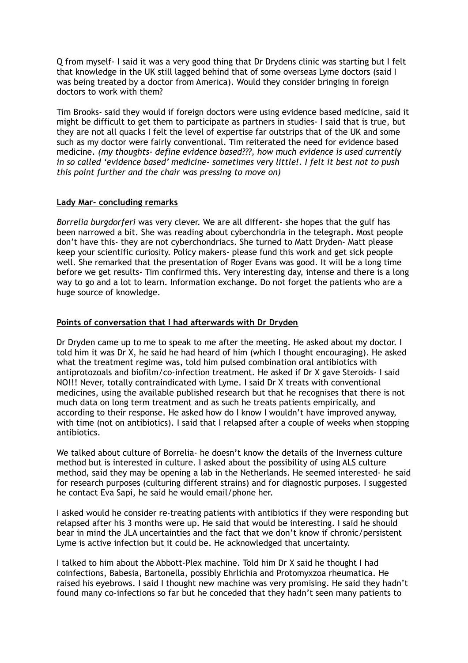Q from myself- I said it was a very good thing that Dr Drydens clinic was starting but I felt that knowledge in the UK still lagged behind that of some overseas Lyme doctors (said I was being treated by a doctor from America). Would they consider bringing in foreign doctors to work with them?

Tim Brooks- said they would if foreign doctors were using evidence based medicine, said it might be difficult to get them to participate as partners in studies- I said that is true, but they are not all quacks I felt the level of expertise far outstrips that of the UK and some such as my doctor were fairly conventional. Tim reiterated the need for evidence based medicine. *(my thoughts- define evidence based???, how much evidence is used currently in so called 'evidence based' medicine- sometimes very little!. I felt it best not to push this point further and the chair was pressing to move on)*

# **Lady Mar- concluding remarks**

*Borrelia burgdorferi* was very clever. We are all different- she hopes that the gulf has been narrowed a bit. She was reading about cyberchondria in the telegraph. Most people don't have this- they are not cyberchondriacs. She turned to Matt Dryden- Matt please keep your scientific curiosity. Policy makers- please fund this work and get sick people well. She remarked that the presentation of Roger Evans was good. It will be a long time before we get results- Tim confirmed this. Very interesting day, intense and there is a long way to go and a lot to learn. Information exchange. Do not forget the patients who are a huge source of knowledge.

# **Points of conversation that I had afterwards with Dr Dryden**

Dr Dryden came up to me to speak to me after the meeting. He asked about my doctor. I told him it was Dr X, he said he had heard of him (which I thought encouraging). He asked what the treatment regime was, told him pulsed combination oral antibiotics with antiprotozoals and biofilm/co-infection treatment. He asked if Dr X gave Steroids- I said NO!!! Never, totally contraindicated with Lyme. I said Dr X treats with conventional medicines, using the available published research but that he recognises that there is not much data on long term treatment and as such he treats patients empirically, and according to their response. He asked how do I know I wouldn't have improved anyway, with time (not on antibiotics). I said that I relapsed after a couple of weeks when stopping antibiotics.

We talked about culture of Borrelia- he doesn't know the details of the Inverness culture method but is interested in culture. I asked about the possibility of using ALS culture method, said they may be opening a lab in the Netherlands. He seemed interested- he said for research purposes (culturing different strains) and for diagnostic purposes. I suggested he contact Eva Sapi, he said he would email/phone her.

I asked would he consider re-treating patients with antibiotics if they were responding but relapsed after his 3 months were up. He said that would be interesting. I said he should bear in mind the JLA uncertainties and the fact that we don't know if chronic/persistent Lyme is active infection but it could be. He acknowledged that uncertainty.

I talked to him about the Abbott-Plex machine. Told him Dr X said he thought I had coinfections, Babesia, Bartonella, possibly Ehrlichia and Protomyxzoa rheumatica. He raised his eyebrows. I said I thought new machine was very promising. He said they hadn't found many co-infections so far but he conceded that they hadn't seen many patients to